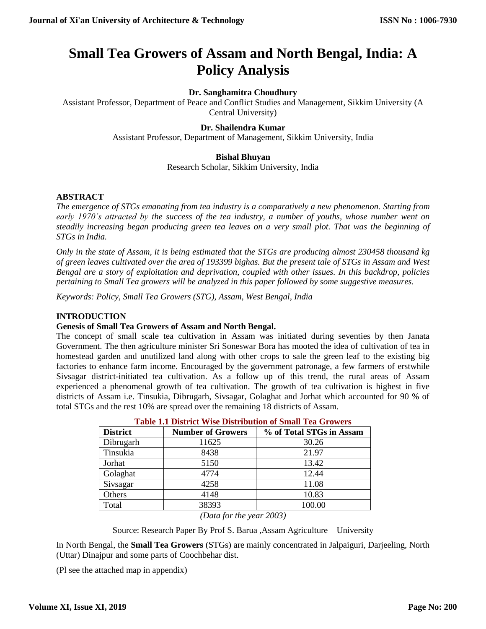# **Small Tea Growers of Assam and North Bengal, India: A Policy Analysis**

## **Dr. Sanghamitra Choudhury**

Assistant Professor, Department of Peace and Conflict Studies and Management, Sikkim University (A Central University)

### **Dr. Shailendra Kumar**

Assistant Professor, Department of Management, Sikkim University, India

### **Bishal Bhuyan**

Research Scholar, Sikkim University, India

### **ABSTRACT**

*The emergence of STGs emanating from tea industry is a comparatively a new phenomenon. Starting from early 1970's attracted by the success of the tea industry, a number of youths, whose number went on steadily increasing began producing green tea leaves on a very small plot. That was the beginning of STGs in India.*

*Only in the state of Assam, it is being estimated that the STGs are producing almost 230458 thousand kg of green leaves cultivated over the area of 193399 bighas. But the present tale of STGs in Assam and West Bengal are a story of exploitation and deprivation, coupled with other issues. In this backdrop, policies pertaining to Small Tea growers will be analyzed in this paper followed by some suggestive measures.*

*Keywords: Policy, Small Tea Growers (STG), Assam, West Bengal, India*

### **INTRODUCTION**

### **Genesis of Small Tea Growers of Assam and North Bengal.**

The concept of small scale tea cultivation in Assam was initiated during seventies by then Janata Government. The then agriculture minister Sri Soneswar Bora has mooted the idea of cultivation of tea in homestead garden and unutilized land along with other crops to sale the green leaf to the existing big factories to enhance farm income. Encouraged by the government patronage, a few farmers of erstwhile Sivsagar district-initiated tea cultivation. As a follow up of this trend, the rural areas of Assam experienced a phenomenal growth of tea cultivation. The growth of tea cultivation is highest in five districts of Assam i.e. Tinsukia, Dibrugarh, Sivsagar, Golaghat and Jorhat which accounted for 90 % of total STGs and the rest 10% are spread over the remaining 18 districts of Assam.

| <b>District</b> | <b>Number of Growers</b> | % of Total STGs in Assam |
|-----------------|--------------------------|--------------------------|
| Dibrugarh       | 11625                    | 30.26                    |
| Tinsukia        | 8438                     | 21.97                    |
| Jorhat          | 5150                     | 13.42                    |
| Golaghat        | 4774                     | 12.44                    |
| Sivsagar        | 4258                     | 11.08                    |
| Others          | 4148                     | 10.83                    |
| Total           | 38393                    | 100.00                   |

|  |  | <b>Table 1.1 District Wise Distribution of Small Tea Growers</b> |
|--|--|------------------------------------------------------------------|
|  |  |                                                                  |

*(Data for the year 2003)*

Source: Research Paper By Prof S. Barua ,Assam Agriculture University

In North Bengal, the **Small Tea Growers** (STGs) are mainly concentrated in Jalpaiguri, Darjeeling, North (Uttar) Dinajpur and some parts of Coochbehar dist.

(Pl see the attached map in appendix)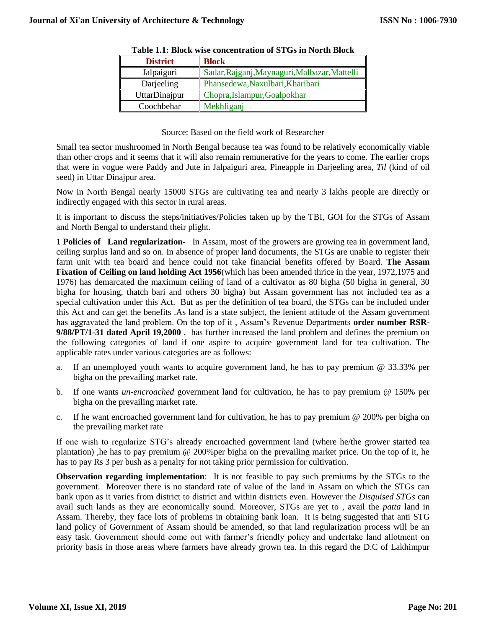| <b>District</b> | <b>Block</b>                                  |  |  |
|-----------------|-----------------------------------------------|--|--|
| Jalpaiguri      | Sadar, Rajganj, Maynaguri, Malbazar, Mattelli |  |  |
| Darjeeling      | Phansedewa, Naxulbari, Kharibari              |  |  |
| UttarDinajpur   | Chopra, Islampur, Goalpokhar                  |  |  |
| Coochbehar      | Mekhliganj                                    |  |  |

| Table 1.1: Block wise concentration of STGs in North Block |
|------------------------------------------------------------|
|------------------------------------------------------------|

Source: Based on the field work of Researcher

Small tea sector mushroomed in North Bengal because tea was found to be relatively economically viable than other crops and it seems that it will also remain remunerative for the years to come. The earlier crops that were in vogue were Paddy and Jute in Jalpaiguri area, Pineapple in Darjeeling area*, Til* (kind of oil seed) in Uttar Dinajpur area.

Now in North Bengal nearly 15000 STGs are cultivating tea and nearly 3 lakhs people are directly or indirectly engaged with this sector in rural areas.

It is important to discuss the steps/initiatives/Policies taken up by the TBI, GOI for the STGs of Assam and North Bengal to understand their plight.

1 **Policies of Land regularization**- In Assam, most of the growers are growing tea in government land, ceiling surplus land and so on. In absence of proper land documents, the STGs are unable to register their farm unit with tea board and hence could not take financial benefits offered by Board. **The Assam Fixation of Ceiling on land holding Act 1956**(which has been amended thrice in the year, 1972,1975 and 1976) has demarcated the maximum ceiling of land of a cultivator as 80 bigha (50 bigha in general, 30 bigha for housing, thatch bari and others 30 bigha) but Assam government has not included tea as a special cultivation under this Act. But as per the definition of tea board, the STGs can be included under this Act and can get the benefits .As land is a state subject, the lenient attitude of the Assam government has aggravated the land problem. On the top of it , Assam's Revenue Departments **order number RSR-9/88/PT/1-31 dated April 19,2000** , has further increased the land problem and defines the premium on the following categories of land if one aspire to acquire government land for tea cultivation. The applicable rates under various categories are as follows:

- a. If an unemployed youth wants to acquire government land, he has to pay premium @ 33.33% per bigha on the prevailing market rate.
- b. If one wants *un-encroached* government land for cultivation, he has to pay premium @ 150% per bigha on the prevailing market rate.
- c. If he want encroached government land for cultivation, he has to pay premium @ 200% per bigha on the prevailing market rate

If one wish to regularize STG's already encroached government land (where he/the grower started tea plantation) ,he has to pay premium @ 200%per bigha on the prevailing market price. On the top of it, he has to pay Rs 3 per bush as a penalty for not taking prior permission for cultivation.

**Observation regarding implementation**: It is not feasible to pay such premiums by the STGs to the government. Moreover there is no standard rate of value of the land in Assam on which the STGs can bank upon as it varies from district to district and within districts even. However the *Disguised STGs* can avail such lands as they are economically sound. Moreover, STGs are yet to , avail the *patta* land in Assam. Thereby, they face lots of problems in obtaining bank loan. It is being suggested that anti STG land policy of Government of Assam should be amended, so that land regularization process will be an easy task. Government should come out with farmer's friendly policy and undertake land allotment on priority basis in those areas where farmers have already grown tea. In this regard the D.C of Lakhimpur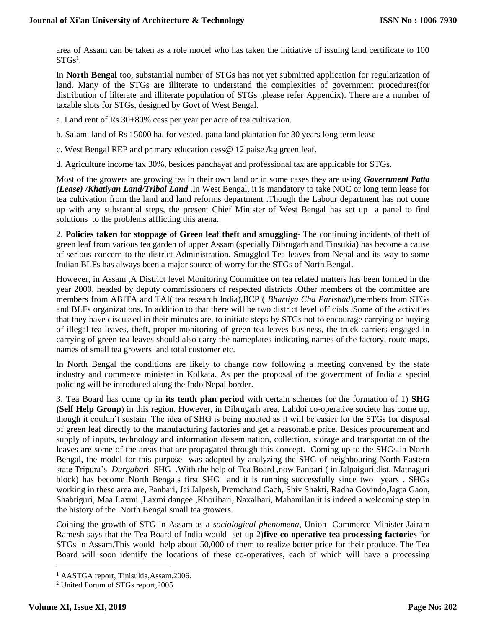area of Assam can be taken as a role model who has taken the initiative of issuing land certificate to 100  $\mathrm{STGs^1}.$ 

In **North Bengal** too, substantial number of STGs has not yet submitted application for regularization of land. Many of the STGs are illiterate to understand the complexities of government procedures(for distribution of lilterate and illiterate population of STGs ,please refer Appendix). There are a number of taxable slots for STGs, designed by Govt of West Bengal.

a. Land rent of Rs 30+80% cess per year per acre of tea cultivation.

b. Salami land of Rs 15000 ha. for vested, patta land plantation for 30 years long term lease

c. West Bengal REP and primary education cess@ 12 paise /kg green leaf.

d. Agriculture income tax 30%, besides panchayat and professional tax are applicable for STGs.<sup>2</sup>

Most of the growers are growing tea in their own land or in some cases they are using *Government Patta (Lease) /Khatiyan Land/Tribal Land* .In West Bengal, it is mandatory to take NOC or long term lease for tea cultivation from the land and land reforms department .Though the Labour department has not come up with any substantial steps, the present Chief Minister of West Bengal has set up a panel to find solutions to the problems afflicting this arena.

2. **Policies taken for stoppage of Green leaf theft and smuggling**- The continuing incidents of theft of green leaf from various tea garden of upper Assam (specially Dibrugarh and Tinsukia) has become a cause of serious concern to the district Administration. Smuggled Tea leaves from Nepal and its way to some Indian BLFs has always been a major source of worry for the STGs of North Bengal.

However, in Assam ,A District level Monitoring Committee on tea related matters has been formed in the year 2000, headed by deputy commissioners of respected districts .Other members of the committee are members from ABITA and TAI( tea research India),BCP ( *Bhartiya Cha Parishad*),members from STGs and BLFs organizations. In addition to that there will be two district level officials .Some of the activities that they have discussed in their minutes are, to initiate steps by STGs not to encourage carrying or buying of illegal tea leaves, theft, proper monitoring of green tea leaves business, the truck carriers engaged in carrying of green tea leaves should also carry the nameplates indicating names of the factory, route maps, names of small tea growers and total customer etc.

In North Bengal the conditions are likely to change now following a meeting convened by the state industry and commerce minister in Kolkata. As per the proposal of the government of India a special policing will be introduced along the Indo Nepal border.

3. Tea Board has come up in **its tenth plan period** with certain schemes for the formation of 1) **SHG (Self Help Group**) in this region. However, in Dibrugarh area, Lahdoi co-operative society has come up, though it couldn't sustain .The idea of SHG is being mooted as it will be easier for the STGs for disposal of green leaf directly to the manufacturing factories and get a reasonable price. Besides procurement and supply of inputs, technology and information dissemination, collection, storage and transportation of the leaves are some of the areas that are propagated through this concept. Coming up to the SHGs in North Bengal, the model for this purpose was adopted by analyzing the SHG of neighbouring North Eastern state Tripura's *Durgabar*i SHG .With the help of Tea Board ,now Panbari ( in Jalpaiguri dist, Matnaguri block) has become North Bengals first SHG and it is running successfully since two years . SHGs working in these area are, Panbari, Jai Jalpesh, Premchand Gach, Shiv Shakti, Radha Govindo,Jagta Gaon, Shabtiguri, Maa Laxmi ,Laxmi dangee ,Khoribari, Naxalbari, Mahamilan.it is indeed a welcoming step in the history of the North Bengal small tea growers.

Coining the growth of STG in Assam as a *sociological phenomena*, Union Commerce Minister Jairam Ramesh says that the Tea Board of India would set up 2)**five co-operative tea processing factories** for STGs in Assam.This would help about 50,000 of them to realize better price for their produce. The Tea Board will soon identify the locations of these co-operatives, each of which will have a processing

<sup>&</sup>lt;sup>1</sup> AASTGA report, Tinisukia, Assam. 2006.

<sup>2</sup> United Forum of STGs report,2005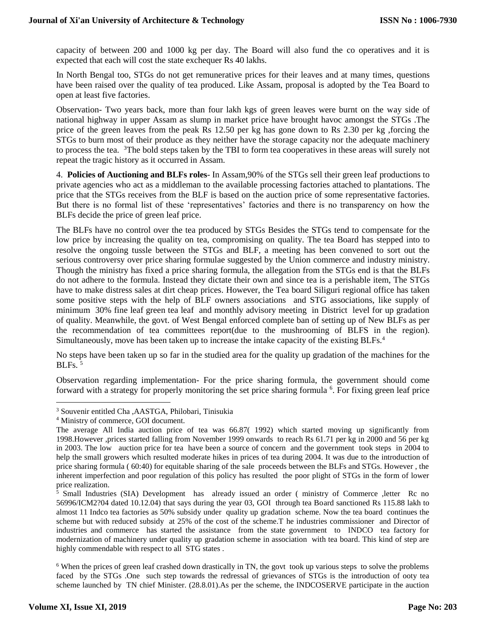capacity of between 200 and 1000 kg per day. The Board will also fund the co operatives and it is expected that each will cost the state exchequer Rs 40 lakhs.

In North Bengal too, STGs do not get remunerative prices for their leaves and at many times, questions have been raised over the quality of tea produced. Like Assam, proposal is adopted by the Tea Board to open at least five factories.

Observation- Two years back, more than four lakh kgs of green leaves were burnt on the way side of national highway in upper Assam as slump in market price have brought havoc amongst the STGs .The price of the green leaves from the peak Rs 12.50 per kg has gone down to Rs 2.30 per kg ,forcing the STGs to burn most of their produce as they neither have the storage capacity nor the adequate machinery to process the tea. <sup>3</sup>The bold steps taken by the TBI to form tea cooperatives in these areas will surely not repeat the tragic history as it occurred in Assam.

4. **Policies of Auctioning and BLFs roles**- In Assam,90% of the STGs sell their green leaf productions to private agencies who act as a middleman to the available processing factories attached to plantations. The price that the STGs receives from the BLF is based on the auction price of some representative factories. But there is no formal list of these 'representatives' factories and there is no transparency on how the BLFs decide the price of green leaf price.

The BLFs have no control over the tea produced by STGs Besides the STGs tend to compensate for the low price by increasing the quality on tea, compromising on quality. The tea Board has stepped into to resolve the ongoing tussle between the STGs and BLF, a meeting has been convened to sort out the serious controversy over price sharing formulae suggested by the Union commerce and industry ministry. Though the ministry has fixed a price sharing formula, the allegation from the STGs end is that the BLFs do not adhere to the formula. Instead they dictate their own and since tea is a perishable item, The STGs have to make distress sales at dirt cheap prices. However, the Tea board Siliguri regional office has taken some positive steps with the help of BLF owners associations and STG associations, like supply of minimum 30% fine leaf green tea leaf and monthly advisory meeting in District level for up gradation of quality. Meanwhile, the govt. of West Bengal enforced complete ban of setting up of New BLFs as per the recommendation of tea committees report(due to the mushrooming of BLFS in the region). Simultaneously, move has been taken up to increase the intake capacity of the existing BLFs.<sup>4</sup>

No steps have been taken up so far in the studied area for the quality up gradation of the machines for the  $BLFs.$ <sup>5</sup>

Observation regarding implementation- For the price sharing formula, the government should come forward with a strategy for properly monitoring the set price sharing formula <sup>6</sup>. For fixing green leaf price

<sup>3</sup> Souvenir entitled Cha ,AASTGA, Philobari, Tinisukia

<sup>4</sup> Ministry of commerce, GOI document.

The average All India auction price of tea was 66.87( 1992) which started moving up significantly from 1998.However ,prices started falling from November 1999 onwards to reach Rs 61.71 per kg in 2000 and 56 per kg in 2003. The low auction price for tea have been a source of concern and the government took steps in 2004 to help the small growers which resulted moderate hikes in prices of tea during 2004. It was due to the introduction of price sharing formula ( 60:40) for equitable sharing of the sale proceeds between the BLFs and STGs. However , the inherent imperfection and poor regulation of this policy has resulted the poor plight of STGs in the form of lower price realization.

<sup>&</sup>lt;sup>5</sup> Small Industries (SIA) Development has already issued an order ( ministry of Commerce ,letter Rc no 56996/ICM2?04 dated 10.12.04) that says during the year 03, GOI through tea Board sanctioned Rs 115.88 lakh to almost 11 Indco tea factories as 50% subsidy under quality up gradation scheme. Now the tea board continues the scheme but with reduced subsidy at 25% of the cost of the scheme. The industries commissioner and Director of industries and commerce has started the assistance from the state government to INDCO tea factory for modernization of machinery under quality up gradation scheme in association with tea board. This kind of step are highly commendable with respect to all STG states .

<sup>&</sup>lt;sup>6</sup> When the prices of green leaf crashed down drastically in TN, the govt took up various steps to solve the problems faced by the STGs .One such step towards the redressal of grievances of STGs is the introduction of ooty tea scheme launched by TN chief Minister. (28.8.01).As per the scheme, the INDCOSERVE participate in the auction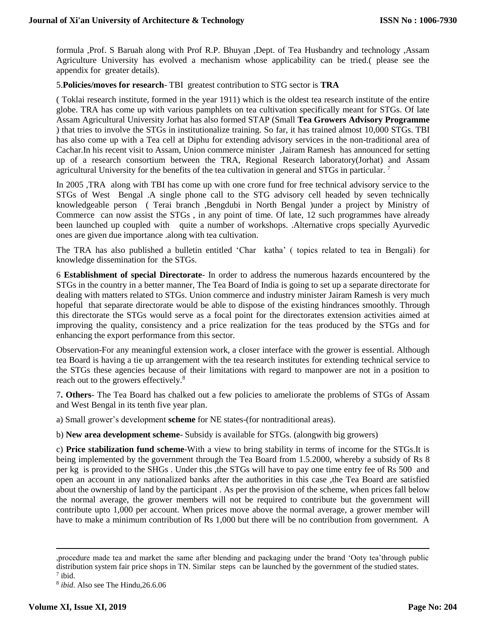formula ,Prof. S Baruah along with Prof R.P. Bhuyan ,Dept. of Tea Husbandry and technology ,Assam Agriculture University has evolved a mechanism whose applicability can be tried.( please see the appendix for greater details).

#### 5.**Policies/moves for research**- TBI greatest contribution to STG sector is **TRA**

( Toklai research institute, formed in the year 1911) which is the oldest tea research institute of the entire globe. TRA has come up with various pamphlets on tea cultivation specifically meant for STGs. Of late Assam Agricultural University Jorhat has also formed STAP (Small **Tea Growers Advisory Programme** ) that tries to involve the STGs in institutionalize training. So far, it has trained almost 10,000 STGs. TBI has also come up with a Tea cell at Diphu for extending advisory services in the non-traditional area of Cachar.In his recent visit to Assam, Union commerce minister ,Jairam Ramesh has announced for setting up of a research consortium between the TRA, Regional Research laboratory(Jorhat) and Assam agricultural University for the benefits of the tea cultivation in general and STGs in particular.<sup>7</sup>

In 2005 ,TRA along with TBI has come up with one crore fund for free technical advisory service to the STGs of West Bengal .A single phone call to the STG advisory cell headed by seven technically knowledgeable person ( Terai branch ,Bengdubi in North Bengal )under a project by Ministry of Commerce can now assist the STGs , in any point of time. Of late, 12 such programmes have already been launched up coupled with quite a number of workshops. .Alternative crops specially Ayurvedic ones are given due importance .along with tea cultivation.

The TRA has also published a bulletin entitled 'Char katha' ( topics related to tea in Bengali) for knowledge dissemination for the STGs.

6 **Establishment of special Directorate**- In order to address the numerous hazards encountered by the STGs in the country in a better manner, The Tea Board of India is going to set up a separate directorate for dealing with matters related to STGs. Union commerce and industry minister Jairam Ramesh is very much hopeful that separate directorate would be able to dispose of the existing hindrances smoothly. Through this directorate the STGs would serve as a focal point for the directorates extension activities aimed at improving the quality, consistency and a price realization for the teas produced by the STGs and for enhancing the export performance from this sector.

Observation-For any meaningful extension work, a closer interface with the grower is essential. Although tea Board is having a tie up arrangement with the tea research institutes for extending technical service to the STGs these agencies because of their limitations with regard to manpower are not in a position to reach out to the growers effectively.<sup>8</sup>

7**. Others**- The Tea Board has chalked out a few policies to ameliorate the problems of STGs of Assam and West Bengal in its tenth five year plan.

a) Small grower's development **scheme** for NE states-(for nontraditional areas).

b) **New area development scheme**- Subsidy is available for STGs. (alongwith big growers)

c) **Price stabilization fund scheme**-With a view to bring stability in terms of income for the STGs.It is being implemented by the government through the Tea Board from 1.5.2000, whereby a subsidy of Rs 8 per kg is provided to the SHGs . Under this ,the STGs will have to pay one time entry fee of Rs 500 and open an account in any nationalized banks after the authorities in this case ,the Tea Board are satisfied about the ownership of land by the participant . As per the provision of the scheme, when prices fall below the normal average, the grower members will not be required to contribute but the government will contribute upto 1,000 per account. When prices move above the normal average, a grower member will have to make a minimum contribution of Rs 1,000 but there will be no contribution from government. A

<sup>,</sup>procedure made tea and market the same after blending and packaging under the brand 'Ooty tea'through public distribution system fair price shops in TN. Similar steps can be launched by the government of the studied states.

 $7$  ibid.

<sup>8</sup> *ibid*. Also see The Hindu,26.6.06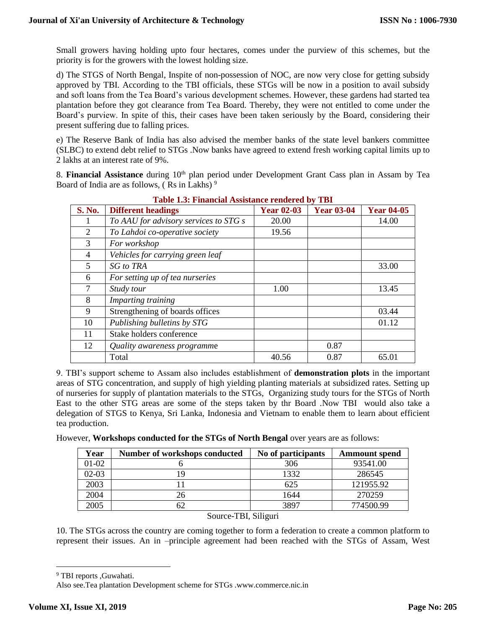Small growers having holding upto four hectares, comes under the purview of this schemes, but the priority is for the growers with the lowest holding size.

d) The STGS of North Bengal, Inspite of non-possession of NOC, are now very close for getting subsidy approved by TBI. According to the TBI officials, these STGs will be now in a position to avail subsidy and soft loans from the Tea Board's various development schemes. However, these gardens had started tea plantation before they got clearance from Tea Board. Thereby, they were not entitled to come under the Board's purview. In spite of this, their cases have been taken seriously by the Board, considering their present suffering due to falling prices.

e) The Reserve Bank of India has also advised the member banks of the state level bankers committee (SLBC) to extend debt relief to STGs .Now banks have agreed to extend fresh working capital limits up to 2 lakhs at an interest rate of 9%.

8. **Financial Assistance** during 10<sup>th</sup> plan period under Development Grant Cass plan in Assam by Tea Board of India are as follows,  $(Rs \text{ in Lakhs})^9$ 

| <b>S. No.</b> | <b>Different headings</b>             | <b>Year 02-03</b> | <b>Year 03-04</b> | <b>Year 04-05</b> |
|---------------|---------------------------------------|-------------------|-------------------|-------------------|
|               | To AAU for advisory services to STG s | 20.00             |                   | 14.00             |
| 2             | To Lahdoi co-operative society        | 19.56             |                   |                   |
| $\mathcal{F}$ | For workshop                          |                   |                   |                   |
| 4             | Vehicles for carrying green leaf      |                   |                   |                   |
| 5             | <b>SG</b> to TRA                      |                   |                   | 33.00             |
| 6             | For setting up of tea nurseries       |                   |                   |                   |
|               | Study tour                            | 1.00              |                   | 13.45             |
| 8             | Imparting training                    |                   |                   |                   |
| 9             | Strengthening of boards offices       |                   |                   | 03.44             |
| 10            | Publishing bulletins by STG           |                   |                   | 01.12             |
| 11            | Stake holders conference              |                   |                   |                   |
| 12            | Quality awareness programme           |                   | 0.87              |                   |
|               | Total                                 | 40.56             | 0.87              | 65.01             |

**Table 1.3: Financial Assistance rendered by TBI**

9. TBI's support scheme to Assam also includes establishment of **demonstration plots** in the important areas of STG concentration, and supply of high yielding planting materials at subsidized rates. Setting up of nurseries for supply of plantation materials to the STGs, Organizing study tours for the STGs of North East to the other STG areas are some of the steps taken by thr Board .Now TBI would also take a delegation of STGS to Kenya, Sri Lanka, Indonesia and Vietnam to enable them to learn about efficient tea production.

However, **Workshops conducted for the STGs of North Bengal** over years are as follows:

| Year    | Number of workshops conducted | No of participants | <b>Ammount</b> spend |
|---------|-------------------------------|--------------------|----------------------|
| 01-02   |                               | 306                | 93541.00             |
| $02-03$ |                               | 1332               | 286545               |
| 2003    |                               | 625                | 121955.92            |
| 2004    |                               | 1644               | 270259               |
| 2005    |                               | 3897               | 774500.99            |

Source-TBI, Siliguri

10. The STGs across the country are coming together to form a federation to create a common platform to represent their issues. An in –principle agreement had been reached with the STGs of Assam, West

<sup>9</sup> TBI reports ,Guwahati.

Also see.Tea plantation Development scheme for STGs .www.commerce.nic.in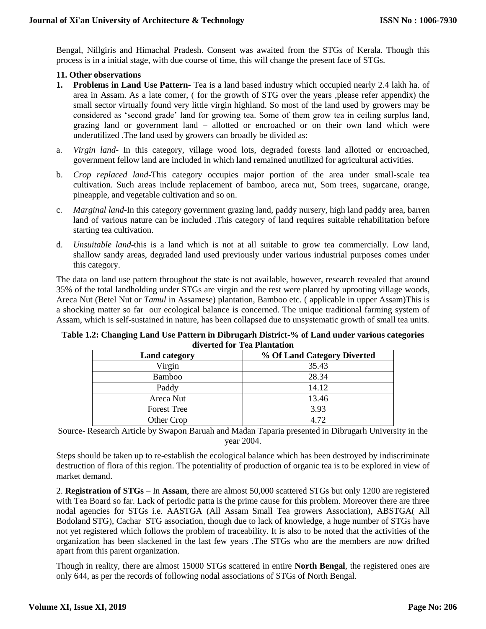Bengal, Nillgiris and Himachal Pradesh. Consent was awaited from the STGs of Kerala. Though this process is in a initial stage, with due course of time, this will change the present face of STGs.

#### **11. Other observations**

- **1. Problems in Land Use Pattern-** Tea is a land based industry which occupied nearly 2.4 lakh ha. of area in Assam. As a late comer, ( for the growth of STG over the years ,please refer appendix) the small sector virtually found very little virgin highland. So most of the land used by growers may be considered as 'second grade' land for growing tea. Some of them grow tea in ceiling surplus land, grazing land or government land – allotted or encroached or on their own land which were underutilized .The land used by growers can broadly be divided as:
- a. *Virgin land* In this category, village wood lots, degraded forests land allotted or encroached, government fellow land are included in which land remained unutilized for agricultural activities.
- b. *Crop replaced land*-This category occupies major portion of the area under small-scale tea cultivation. Such areas include replacement of bamboo, areca nut, Som trees, sugarcane, orange, pineapple, and vegetable cultivation and so on.
- c. *Marginal land*-In this category government grazing land, paddy nursery, high land paddy area, barren land of various nature can be included .This category of land requires suitable rehabilitation before starting tea cultivation.
- d. *Unsuitable land*-this is a land which is not at all suitable to grow tea commercially. Low land, shallow sandy areas, degraded land used previously under various industrial purposes comes under this category.

The data on land use pattern throughout the state is not available, however, research revealed that around 35% of the total landholding under STGs are virgin and the rest were planted by uprooting village woods, Areca Nut (Betel Nut or *Tamul* in Assamese) plantation, Bamboo etc. ( applicable in upper Assam)This is a shocking matter so far our ecological balance is concerned. The unique traditional farming system of Assam, which is self-sustained in nature, has been collapsed due to unsystematic growth of small tea units.

| Table 1.2: Changing Land Use Pattern in Dibrugarh District-% of Land under various categories |  |  |  |
|-----------------------------------------------------------------------------------------------|--|--|--|
| diverted for Tea Plantation                                                                   |  |  |  |

| <b>Land category</b> | % Of Land Category Diverted |  |
|----------------------|-----------------------------|--|
| Virgin               | 35.43                       |  |
| Bamboo               | 28.34                       |  |
| Paddy                | 14.12                       |  |
| Areca Nut            | 13.46                       |  |
| <b>Forest Tree</b>   | 3.93                        |  |
| Other Crop           | 4.72                        |  |

Source- Research Article by Swapon Baruah and Madan Taparia presented in Dibrugarh University in the year 2004.

Steps should be taken up to re-establish the ecological balance which has been destroyed by indiscriminate destruction of flora of this region. The potentiality of production of organic tea is to be explored in view of market demand.

2. **Registration of STGs** – In **Assam**, there are almost 50,000 scattered STGs but only 1200 are registered with Tea Board so far. Lack of periodic patta is the prime cause for this problem. Moreover there are three nodal agencies for STGs i.e. AASTGA (All Assam Small Tea growers Association), ABSTGA( All Bodoland STG), Cachar STG association, though due to lack of knowledge, a huge number of STGs have not yet registered which follows the problem of traceability. It is also to be noted that the activities of the organization has been slackened in the last few years .The STGs who are the members are now drifted apart from this parent organization.

Though in reality, there are almost 15000 STGs scattered in entire **North Bengal**, the registered ones are only 644, as per the records of following nodal associations of STGs of North Bengal.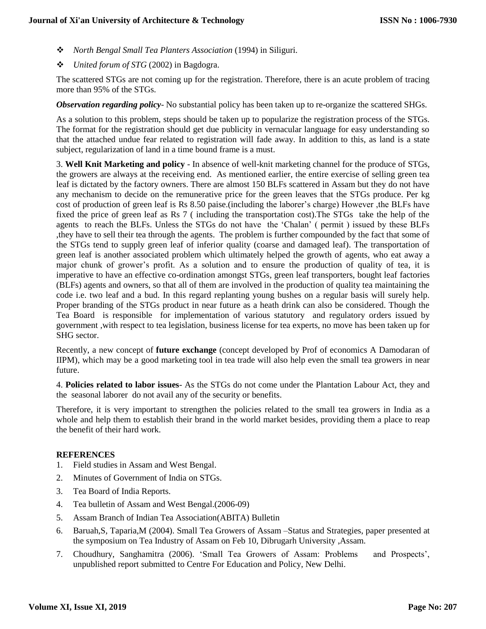- *North Bengal Small Tea Planters Association* (1994) in Siliguri.
- *United forum of STG* (2002) in Bagdogra.

The scattered STGs are not coming up for the registration. Therefore, there is an acute problem of tracing more than 95% of the STGs.

*Observation regarding policy*- No substantial policy has been taken up to re-organize the scattered SHGs.

As a solution to this problem, steps should be taken up to popularize the registration process of the STGs. The format for the registration should get due publicity in vernacular language for easy understanding so that the attached undue fear related to registration will fade away. In addition to this, as land is a state subject, regularization of land in a time bound frame is a must.

3. **Well Knit Marketing and policy** - In absence of well-knit marketing channel for the produce of STGs, the growers are always at the receiving end. As mentioned earlier, the entire exercise of selling green tea leaf is dictated by the factory owners. There are almost 150 BLFs scattered in Assam but they do not have any mechanism to decide on the remunerative price for the green leaves that the STGs produce. Per kg cost of production of green leaf is Rs 8.50 paise.(including the laborer's charge) However ,the BLFs have fixed the price of green leaf as Rs 7 ( including the transportation cost).The STGs take the help of the agents to reach the BLFs. Unless the STGs do not have the 'Chalan' ( permit ) issued by these BLFs ,they have to sell their tea through the agents. The problem is further compounded by the fact that some of the STGs tend to supply green leaf of inferior quality (coarse and damaged leaf). The transportation of green leaf is another associated problem which ultimately helped the growth of agents, who eat away a major chunk of grower's profit. As a solution and to ensure the production of quality of tea, it is imperative to have an effective co-ordination amongst STGs, green leaf transporters, bought leaf factories (BLFs) agents and owners, so that all of them are involved in the production of quality tea maintaining the code i.e. two leaf and a bud. In this regard replanting young bushes on a regular basis will surely help. Proper branding of the STGs product in near future as a heath drink can also be considered. Though the Tea Board is responsible for implementation of various statutory and regulatory orders issued by government ,with respect to tea legislation, business license for tea experts, no move has been taken up for SHG sector.

Recently, a new concept of **future exchange** (concept developed by Prof of economics A Damodaran of IIPM), which may be a good marketing tool in tea trade will also help even the small tea growers in near future.

4. **Policies related to labor issues**- As the STGs do not come under the Plantation Labour Act, they and the seasonal laborer do not avail any of the security or benefits.

Therefore, it is very important to strengthen the policies related to the small tea growers in India as a whole and help them to establish their brand in the world market besides, providing them a place to reap the benefit of their hard work.

### **REFERENCES**

- 1. Field studies in Assam and West Bengal.
- 2. Minutes of Government of India on STGs.
- 3. Tea Board of India Reports.
- 4. Tea bulletin of Assam and West Bengal.(2006-09)
- 5. Assam Branch of Indian Tea Association(ABITA) Bulletin
- 6. Baruah,S, Taparia,M (2004). Small Tea Growers of Assam –Status and Strategies, paper presented at the symposium on Tea Industry of Assam on Feb 10, Dibrugarh University ,Assam.
- 7. Choudhury, Sanghamitra (2006). 'Small Tea Growers of Assam: Problems and Prospects', unpublished report submitted to Centre For Education and Policy, New Delhi.